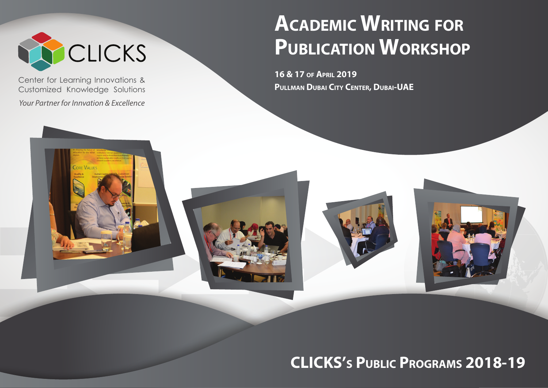

Center for Learning Innovations & Customized Knowledge Solutions

*Your Partner for Innvation & Excellence*

**CORE VALUES** 

# **ACADEMIC WRITING FOR PUBLICATION WORKSHOP**

**16 & 17 OF APRIL 2019 PULLMAN DUBAI CITY CENTER, DUBAI-UAE**

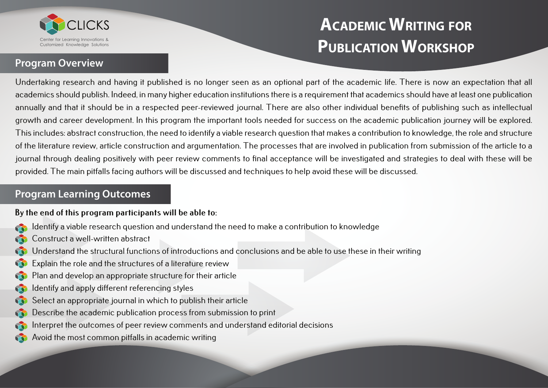

#### **Program Overview**

Undertaking research and having it published is no longer seen as an optional part of the academic life. There is now an expectation that all academics should publish. Indeed, in many higher education institutions there is a requirement that academics should have at least one publication annually and that it should be in a respected peer-reviewed journal. There are also other individual benefits of publishing such as intellectual growth and career development. In this program the important tools needed for success on the academic publication journey will be explored. This includes: abstract construction, the need to identify a viable research question that makes a contribution to knowledge, the role and structure of the literature review, article construction and argumentation. The processes that are involved in publication from submission of the article to a journal through dealing positively with peer review comments to final acceptance will be investigated and strategies to deal with these will be provided. The main pitfalls facing authors will be discussed and techniques to help avoid these will be discussed.

#### **Program Learning Outcomes**

#### **By the end of this program participants will be able to:**

- Identify a viable research question and understand the need to make a contribution to knowledge
- Construct a well-written abstract
- Understand the structural functions of introductions and conclusions and be able to use these in their writing
- Explain the role and the structures of a literature review
- Plan and develop an appropriate structure for their article
- Identify and apply different referencing styles  $\mathbf{G}$
- Select an appropriate journal in which to publish their article
- Describe the academic publication process from submission to print
- Interpret the outcomes of peer review comments and understand editorial decisions
- Avoid the most common pitfalls in academic writing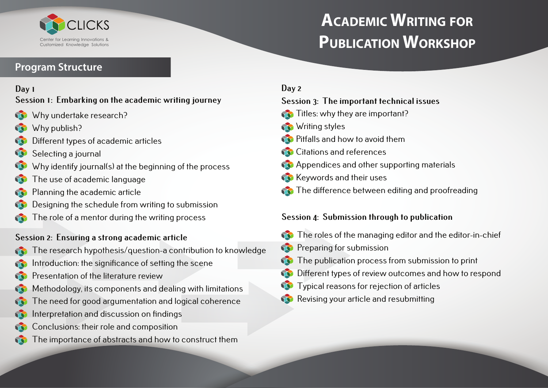

### **Program Structure**

#### **Day 1**

**Session 1: Embarking on the academic writing journey** 

- Why undertake research?
- Why publish?
- Different types of academic articles
- Selecting a journal
- Why identify journal(s) at the beginning of the process
- The use of academic language
- Planning the academic article
- Designing the schedule from writing to submission
- The role of a mentor during the writing process

#### **Session 2: Ensuring a strong academic article**

- The research hypothesis/question-a contribution to knowledge
- Introduction: the significance of setting the scene
- Presentation of the literature review
- Methodology, its components and dealing with limitations
- The need for good argumentation and logical coherence
- Interpretation and discussion on findings
- Conclusions: their role and composition
- The importance of abstracts and how to construct them

#### **Day 2**

**Session 3: The important technical issues**

- Titles: why they are important?
- **Writing styles**
- **Pitfalls and how to avoid them**
- Citations and references
- **Appendices and other supporting materials**
- Keywords and their uses
- The difference between editing and proofreading

#### **Session 4: Submission through to publication**

- The roles of the managing editor and the editor-in-chief
- **Preparing for submission**
- The publication process from submission to print Ŵ
- **ST** Different types of review outcomes and how to respond
- Ŵ Typical reasons for rejection of articles
- Revising your article and resubmitting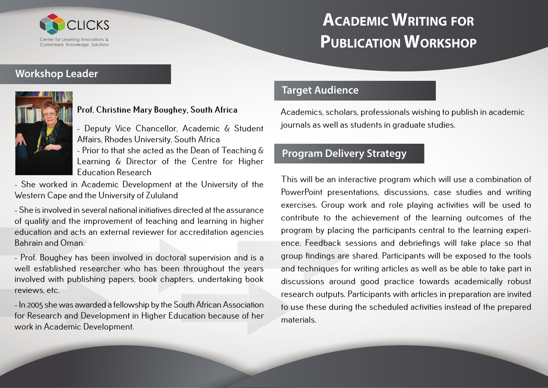

#### **Workshop Leader**



#### **Prof. Christine Mary Boughey, South Africa**

Affairs, Rhodes University, South Africa - Prior to that she acted as the Dean of Teaching & Learning & Director of the Centre for Higher Education Research

- She worked in Academic Development at the University of the Western Cape and the University of Zululand

- She is involved in several national initiatives directed at the assurance of quality and the improvement of teaching and learning in higher education and acts an external reviewer for accreditation agencies Bahrain and Oman.

- Prof. Boughey has been involved in doctoral supervision and is a well established researcher who has been throughout the years involved with publishing papers, book chapters, undertaking book reviews, etc.

- In 2005 she was awarded a fellowship by the South African Association for Research and Development in Higher Education because of her work in Academic Development.

### **Target Audience**

Academics, scholars, professionals wishing to publish in academic - Deputy Vice Chancellor, Academic & Student in graduate studies.

### **Program Delivery Strategy**

This will be an interactive program which will use a combination of PowerPoint presentations, discussions, case studies and writing exercises. Group work and role playing activities will be used to contribute to the achievement of the learning outcomes of the program by placing the participants central to the learning experience. Feedback sessions and debriefings will take place so that group findings are shared. Participants will be exposed to the tools and techniques for writing articles as well as be able to take part in discussions around good practice towards academically robust research outputs. Participants with articles in preparation are invited to use these during the scheduled activities instead of the prepared materials.